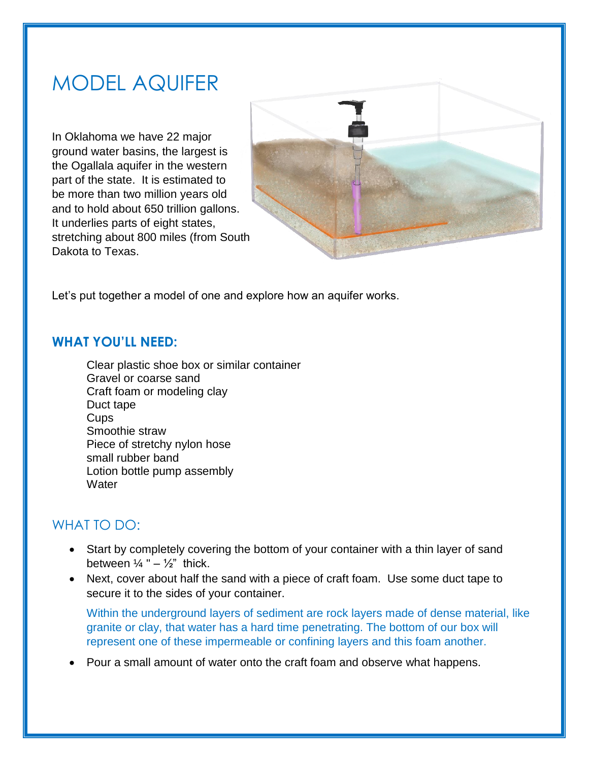## MODEL AQUIFER

In Oklahoma we have 22 major ground water basins, the largest is the Ogallala aquifer in the western part of the state. It is estimated to be more than two million years old and to hold about 650 trillion gallons. It underlies parts of eight states, stretching about 800 miles (from South Dakota to Texas.



Let's put together a model of one and explore how an aquifer works.

## **WHAT YOU'LL NEED:**

Clear plastic shoe box or similar container Gravel or coarse sand Craft foam or modeling clay Duct tape Cups Smoothie straw Piece of stretchy nylon hose small rubber band Lotion bottle pump assembly **Water** 

## WHAT TO DO:

- Start by completely covering the bottom of your container with a thin layer of sand between  $\frac{1}{4}$  " –  $\frac{1}{2}$ " thick.
- Next, cover about half the sand with a piece of craft foam. Use some duct tape to secure it to the sides of your container.

Within the underground layers of sediment are rock layers made of dense material, like granite or clay, that water has a hard time penetrating. The bottom of our box will represent one of these impermeable or confining layers and this foam another.

Pour a small amount of water onto the craft foam and observe what happens.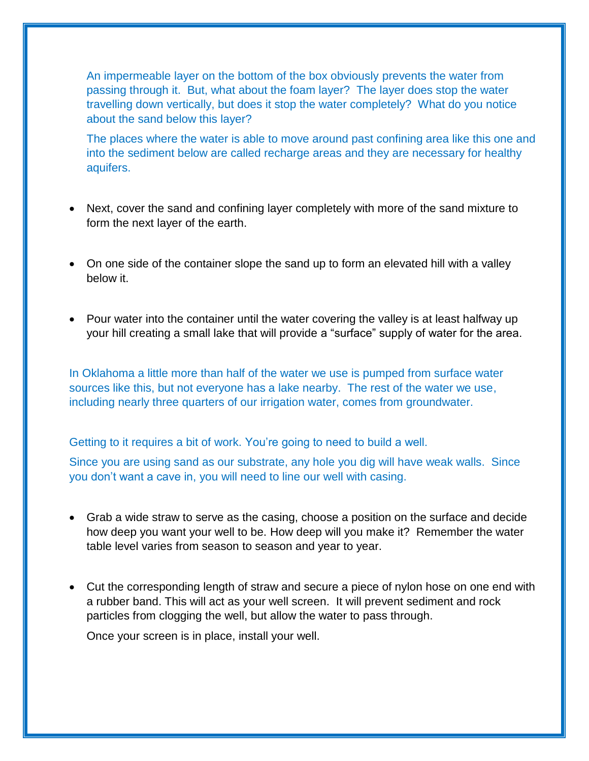An impermeable layer on the bottom of the box obviously prevents the water from passing through it. But, what about the foam layer? The layer does stop the water travelling down vertically, but does it stop the water completely? What do you notice about the sand below this layer?

The places where the water is able to move around past confining area like this one and into the sediment below are called recharge areas and they are necessary for healthy aquifers.

- Next, cover the sand and confining layer completely with more of the sand mixture to form the next layer of the earth.
- On one side of the container slope the sand up to form an elevated hill with a valley below it.
- Pour water into the container until the water covering the valley is at least halfway up your hill creating a small lake that will provide a "surface" supply of water for the area.

In Oklahoma a little more than half of the water we use is pumped from surface water sources like this, but not everyone has a lake nearby. The rest of the water we use, including nearly three quarters of our irrigation water, comes from groundwater.

Getting to it requires a bit of work. You're going to need to build a well.

Since you are using sand as our substrate, any hole you dig will have weak walls. Since you don't want a cave in, you will need to line our well with casing.

- Grab a wide straw to serve as the casing, choose a position on the surface and decide how deep you want your well to be. How deep will you make it? Remember the water table level varies from season to season and year to year.
- Cut the corresponding length of straw and secure a piece of nylon hose on one end with a rubber band. This will act as your well screen. It will prevent sediment and rock particles from clogging the well, but allow the water to pass through.

Once your screen is in place, install your well.